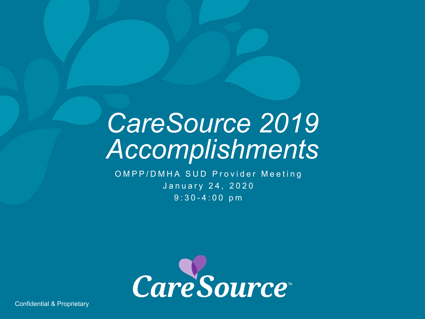### *CareSource 2019 Accomplishments*

OMPP/DMHA SUD Provider Meeting January 24, 2020 9:30 - 4:00 pm



Confidential & Proprietary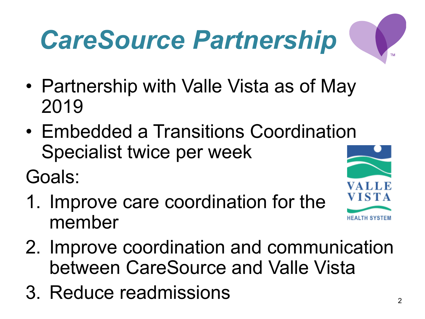# *CareSource Partnership*

- Partnership with Valle Vista as of May 2019
- Embedded a Transitions Coordination Specialist twice per week

Goals:

- 1. Improve care coordination for the member
- 2. Improve coordination and communication between CareSource and Valle Vista
- 3. Reduce readmissions

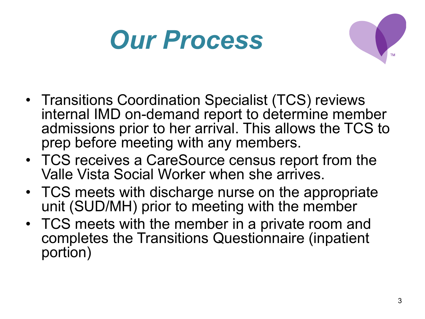## *Our Process*



- Transitions Coordination Specialist (TCS) reviews internal IMD on-demand report to determine member admissions prior to her arrival. This allows the TCS to prep before meeting with any members.
- TCS receives a CareSource census report from the Valle Vista Social Worker when she arrives.
- TCS meets with discharge nurse on the appropriate unit (SUD/MH) prior to meeting with the member
- TCS meets with the member in a private room and completes the Transitions Questionnaire (inpatient portion)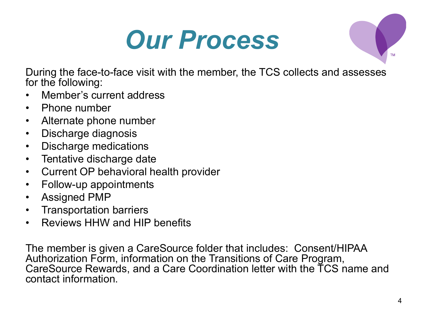### *Our Process*



During the face-to-face visit with the member, the TCS collects and assesses for the following:

- Member's current address
- Phone number
- Alternate phone number
- Discharge diagnosis
- Discharge medications
- Tentative discharge date
- Current OP behavioral health provider
- Follow-up appointments
- Assigned PMP
- Transportation barriers
- Reviews HHW and HIP benefits

The member is given a CareSource folder that includes: Consent/HIPAA Authorization Form, information on the Transitions of Care Program, CareSource Rewards, and a Care Coordination letter with the TCS name and contact information.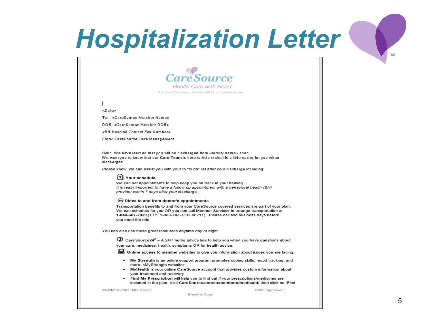### **Hospitalization Letter**



**Health Care with Heart** P.O. Box 8738, Dayton, OH 45401-8738 | CareSource.com

### <Date>

To: < CareSource Member Name>

DOB: <CareSource Member DOB>

<BH Hospital Contact Fax Number>

From: CareSource Care Management

Hello. We have learned that you will be discharged from <facility name> soon. We wantyou to know that our Care Team is here to help make life a little easier for you when discharged

Please know, we can assist you with your to "to do" list after your discharge including:

### 1 Your schedule.

We can set appointments to help keep you on track in your healing It is really important to have a follow-up appointment with a behavioral health (BH) provider within 7 days after your discharge.

### Rides to and from doctor's appointments

Transportation benefits to and from your CareSource covered services are part of your plan. We can schedule for you OR you can call Member Services to arrange transportation at 1-844-607-2829 (TTY: 1-800-743-3333 or 711). Please call two business days before you need the ride.

You can also use these great resources anytime day or night.

**3** Care Source  $24^{\circ}$  – A 24/7 nurse advice line to help you when you have questions about your care, medicines, health, symptoms OR for health advice.

Online access to member websites to give you information about issues you are facing:

- My Strength is an online support program promotes coping skills, mood tracking, and more. <MyStrength website>
- MyHealth is your online CareSource account that provides custom information about  $\bullet$ your treatment and recovery
- Find My Prescription will help you to find out if your prescriptions/medicines are included in the plan. Visit Care Source.com/in/members/medicaid/ then click on "Find

OMPP Approved:

IN-MMED-2982 Date Issued:

Member Copy

**TM**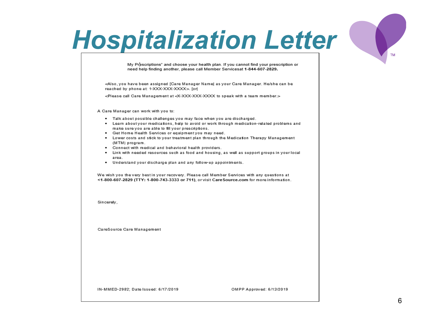### **Hospitalization Letter**

My Prescriptions" and choose your health plan. If you cannot find your prescription or need help finding another, please call Member Servicesat 1-844-607-2829.

<Also, you have been assigned [Care Manager Name] as your Care Manager. He/she can be reached by phone at: 1-XXX-XXX-XXXX>. [or]

<Please call Care Management at <X-XXX-XXX-XXXX to speak with a team member.>

A Care Manager can work with you to:

- . Talk about possible challenges you may face when you are discharged.
- . Learn about your medications, help to avoid or work through medication-related problems and make sure you are able to fill your prescriptions.
- . Get Home Health Services or equipmentyou may need.
- . Lower costs and stick to your treatment plan through the Medication Therapy Management (MTM) program.
- Connect with medical and behavioral health providers.
- . Link with needed resources such as food and housing, as well as support groups in your local area.
- . Understand your discharge plan and any follow-up appointments.

We wish you the very best in your recovery. Please call Member Services with any questions at <1-800-607-2829 (TTY: 1-800-743-3333 or 711), or visit Care Source.com for more information.

Sincerelv.

CareSource Care Management

IN-MMED-2982; Date Issued: 6/17/2019

OMPP Approved: 6/13/2019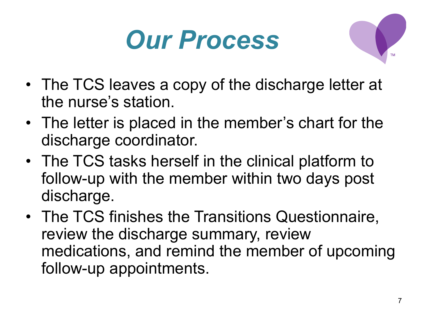



- The TCS leaves a copy of the discharge letter at the nurse's station.
- The letter is placed in the member's chart for the discharge coordinator.
- The TCS tasks herself in the clinical platform to follow-up with the member within two days post discharge.
- The TCS finishes the Transitions Questionnaire, review the discharge summary, review medications, and remind the member of upcoming follow-up appointments.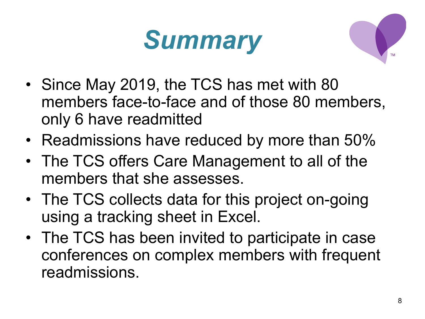



- Since May 2019, the TCS has met with 80 members face-to-face and of those 80 members, only 6 have readmitted
- Readmissions have reduced by more than 50%
- The TCS offers Care Management to all of the members that she assesses.
- The TCS collects data for this project on-going using a tracking sheet in Excel.
- The TCS has been invited to participate in case conferences on complex members with frequent readmissions.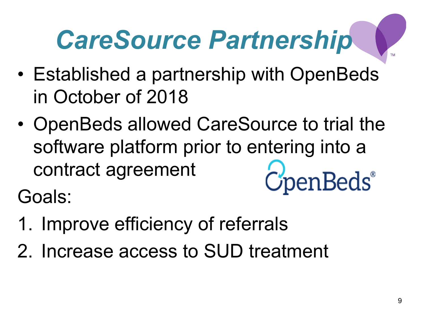# *CareSource Partnership*

- Established a partnership with OpenBeds in October of 2018
- OpenBeds allowed CareSource to trial the software platform prior to entering into a contract agreement CpenBeds®

Goals:

- 1. Improve efficiency of referrals
- 2. Increase access to SUD treatment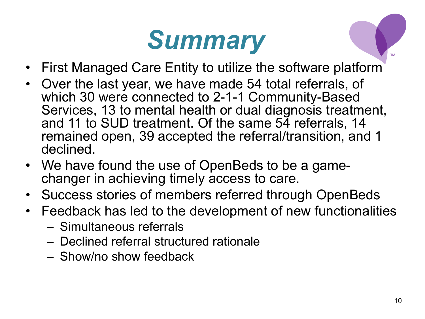## *Summary*

- First Managed Care Entity to utilize the software platform
- Over the last year, we have made 54 total referrals, of which 30 were connected to 2-1-1 Community-Based Services, 13 to mental health or dual diagnosis treatment, and 11 to SUD treatment. Of the same 54 referrals, 14 remained open, 39 accepted the referral/transition, and 1 declined.
- We have found the use of OpenBeds to be a game- changer in achieving timely access to care.
- Success stories of members referred through OpenBeds
- Feedback has led to the development of new functionalities
	- Simultaneous referrals
	- Declined referral structured rationale
	- Show/no show feedback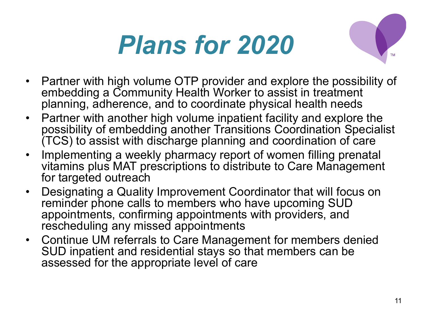# *Plans for 2020*



- Partner with high volume OTP provider and explore the possibility of embedding a Community Health Worker to assist in treatment planning, adherence, and to coordinate physical health needs
- Partner with another high volume inpatient facility and explore the possibility of embedding another Transitions Coordination Specialist (TCS) to assist with discharge planning and coordination of care
- Implementing a weekly pharmacy report of women filling prenatal vitamins plus MAT prescriptions to distribute to Care Management for targeted outreach
- Designating a Quality Improvement Coordinator that will focus on reminder phone calls to members who have upcoming SUD appointments, confirming appointments with providers, and rescheduling any missed appointments
- Continue UM referrals to Care Management for members denied SUD inpatient and residential stays so that members can be assessed for the appropriate level of care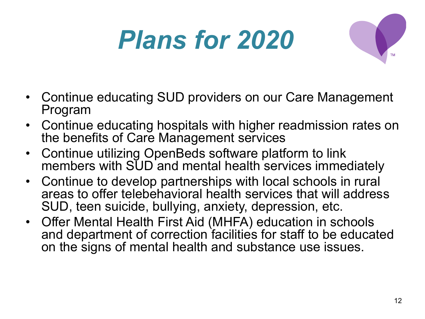# *Plans for 2020*



- Continue educating SUD providers on our Care Management Program
- Continue educating hospitals with higher readmission rates on the benefits of Care Management services
- Continue utilizing OpenBeds software platform to link members with SUD and mental health services immediately
- Continue to develop partnerships with local schools in rural areas to offer telebehavioral health services that will address SUD, teen suicide, bullying, anxiety, depression, etc.
- Offer Mental Health First Aid (MHFA) education in schools and department of correction facilities for staff to be educated on the signs of mental health and substance use issues.